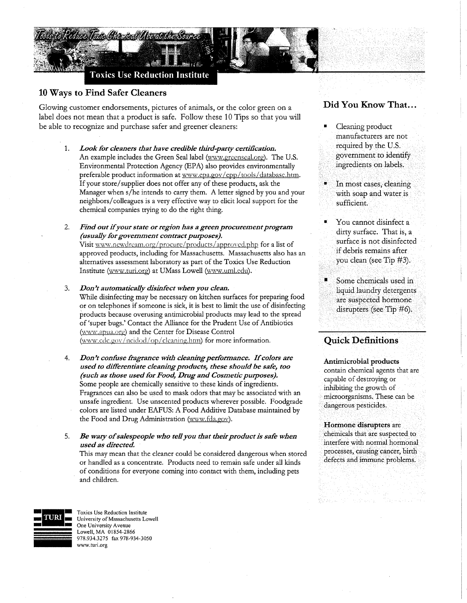

**Toxics Use Reduction Institute** 

## 10 Ways to Find Safer Cleaners

Glowing customer endorsements, pictures of animals, or the color green on a label does not mean that a product is safe. Follow these 10 Tips so that you will be able to recognize and purchase safer and greener cleaners:

*1. Look for cleaners that have credible third-party certification.*  An example includes the Green Seal label (www.greenseal.org). The U.S. Environmental Protection Agency (EPA) also provides environmentally preferable product information at www.epa.gov/epp/tools/database.htm. If your store/ supplier does not offer any of these products, ask the Manager when s/he intends to carry them. A letter signed by you and your neighbors/ colleagues is a very effective way to elicit local support for the chemical companies trying to do the right thing.

*2. Find out if your state or region has a green procurement program (usually for government contract purposes).*  Visit www.ncwdream.org/procure/products/approved.php for a list of approved products, including for Massachusetts. Massachusetts also has an alternatives assessment laboratory as part of the Toxics Use Reduction Institute (www.turi.org) at UMass Lowell (www.uml.edu).

- *3. Don't automatically disinfect when you clean.*  While disinfecting may be necessary on kitchen surfaces for preparing food or on telephones if someone is sick, it is best to limit the use of disinfecting products because overusing antimicrobial products may lead to the spread of 'super bugs.' Contact the Alliance for the Prudent Use of Antibiotics (www.apua.org) and the Center for Disease Control (www.cdc.gov/ncidod/op/cleaning.htm) for more information.
- 4. *Don't confuse fragrance with cleaning performance. If colors are used to differentiate cleaning products, these should be safe, too (such as those used for Food, Drug and Cosmetic purposes).*  Some people are chemically sensitive to these kinds of ingredients. Fragrances can also be used to mask odors that may be associated with an unsafe ingredient. Use unscented products wherever possible. Foodgrade colors are listed under EAFUS: A Food Additive Database maintained by the Food and Drug Administration (www.fda.gov).

5. Be wary of salespeople who tell you that their product is safe when *used as directed.* 

This may mean that the cleaner could be considered dangerous when stored or handled as a concentrate. Products need to remain safe under all kinds of conditions for everyone coming into contact with them, including pets and children.

## Did You Know That...

- Cleaning product manufacturers are not required by the U.S. government to identify ingredients on labels.,
- In most cases, cleaning with soap and water is sufficient.
- You cannot disinfect a dirty surface. That is, a surface is not disinfected if debris remains after you clean (see Tip #3).
- Some chemicals used in liquid laundry detergents are suspected hormone disrupters (see Tip #6).

## Quick Definitions

Antimicrobial products contain chemical agents that are capable of destroying or inhibiting the growth of microorganisms. These can be dangerous pesticides.

Hormone disrupters are chemicals that are suspected to interfere with normal hormonal processes, causing cancer, birth defects and immune problems.



**Toxics Use Reduction Institute**<br>**URI • University of Massachusetts Lowell** One University Avenue Lowell. MA 01854-2866 978.934.3275 fax 978-934-3050 www.turi.org